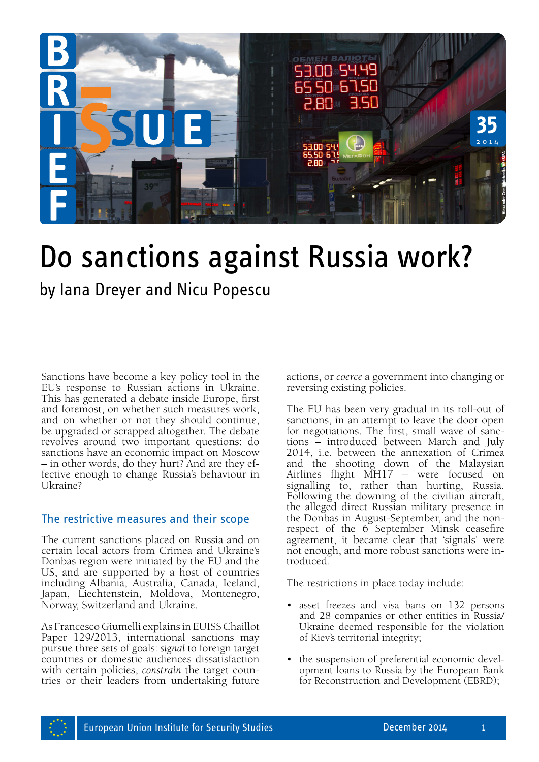

# Do sanctions against Russia work?

by Iana Dreyer and Nicu Popescu

Sanctions have become a key policy tool in the EU's response to Russian actions in Ukraine. This has generated a debate inside Europe, first and foremost, on whether such measures work, and on whether or not they should continue, be upgraded or scrapped altogether. The debate revolves around two important questions: do sanctions have an economic impact on Moscow – in other words, do they hurt? And are they effective enough to change Russia's behaviour in Ukraine?

# The restrictive measures and their scope

The current sanctions placed on Russia and on certain local actors from Crimea and Ukraine's Donbas region were initiated by the EU and the US, and are supported by a host of countries including Albania, Australia, Canada, Iceland, Japan, Liechtenstein, Moldova, Montenegro, Norway, Switzerland and Ukraine.

As Francesco Giumelli explains in EUISS Chaillot Paper 129/2013, international sanctions may pursue three sets of goals: *signal* to foreign target countries or domestic audiences dissatisfaction with certain policies, *constrain* the target countries or their leaders from undertaking future actions, or *coerce* a government into changing or reversing existing policies.

The EU has been very gradual in its roll-out of sanctions, in an attempt to leave the door open for negotiations. The first, small wave of sanc- tions – introduced between March and July 2014, i.e. between the annexation of Crimea and the shooting down of the Malaysian Airlines flight MH17 – were focused on signalling to, rather than hurting, Russia. Following the downing of the civilian aircraft, the alleged direct Russian military presence in the Donbas in August-September, and the nonrespect of the 6 September Minsk ceasefire agreement, it became clear that 'signals' were not enough, and more robust sanctions were introduced.

The restrictions in place today include:

- asset freezes and visa bans on 132 persons and 28 companies or other entities in Russia/ Ukraine deemed responsible for the violation of Kiev's territorial integrity;
- the suspension of preferential economic development loans to Russia by the European Bank for Reconstruction and Development (EBRD);

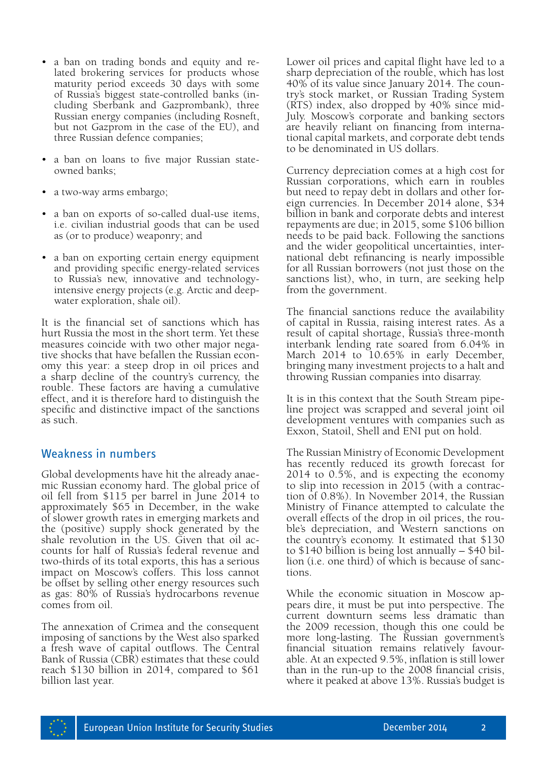- a ban on trading bonds and equity and related brokering services for products whose maturity period exceeds 30 days with some of Russia's biggest state-controlled banks (including Sberbank and Gazprombank), three Russian energy companies (including Rosneft, but not Gazprom in the case of the EU), and three Russian defence companies;
- a ban on loans to five major Russian stateowned banks;
- a two-way arms embargo;
- a ban on exports of so-called dual-use items, i.e. civilian industrial goods that can be used as (or to produce) weaponry; and
- a ban on exporting certain energy equipment and providing specific energy-related services to Russia's new, innovative and technologyintensive energy projects (e.g. Arctic and deepwater exploration, shale oil).

It is the financial set of sanctions which has hurt Russia the most in the short term. Yet these measures coincide with two other major negative shocks that have befallen the Russian economy this year: a steep drop in oil prices and a sharp decline of the country's currency, the rouble. These factors are having a cumulative effect, and it is therefore hard to distinguish the specific and distinctive impact of the sanctions as such.

# Weakness in numbers

Global developments have hit the already anaemic Russian economy hard. The global price of oil fell from \$115 per barrel in June 2014 to approximately \$65 in December, in the wake of slower growth rates in emerging markets and the (positive) supply shock generated by the shale revolution in the US. Given that oil accounts for half of Russia's federal revenue and two-thirds of its total exports, this has a serious impact on Moscow's coffers. This loss cannot be offset by selling other energy resources such as gas: 80% of Russia's hydrocarbons revenue comes from oil.

The annexation of Crimea and the consequent imposing of sanctions by the West also sparked a fresh wave of capital outflows. The Central Bank of Russia (CBR) estimates that these could reach \$130 billion in 2014, compared to \$61 billion last year.

Lower oil prices and capital flight have led to a sharp depreciation of the rouble, which has lost 40% of its value since January 2014. The coun- try's stock market, or Russian Trading System (RTS) index, also dropped by 40% since mid-July. Moscow's corporate and banking sectors are heavily reliant on financing from interna- tional capital markets, and corporate debt tends to be denominated in US dollars.

Currency depreciation comes at a high cost for Russian corporations, which earn in roubles but need to repay debt in dollars and other foreign currencies. In December 2014 alone, \$34 billion in bank and corporate debts and interest repayments are due; in 2015, some \$106 billion needs to be paid back. Following the sanctions and the wider geopolitical uncertainties, international debt refinancing is nearly impossible for all Russian borrowers (not just those on the sanctions list), who, in turn, are seeking help from the government.

The financial sanctions reduce the availability of capital in Russia, raising interest rates. As a result of capital shortage, Russia's three-month interbank lending rate soared from 6.04% in March 2014 to 10.65% in early December, bringing many investment projects to a halt and throwing Russian companies into disarray.

It is in this context that the South Stream pipeline project was scrapped and several joint oil development ventures with companies such as Exxon, Statoil, Shell and ENI put on hold.

The Russian Ministry of Economic Development has recently reduced its growth forecast for 2014 to 0.5%, and is expecting the economy to slip into recession in 2015 (with a contraction of 0.8%). In November 2014, the Russian Ministry of Finance attempted to calculate the overall effects of the drop in oil prices, the rouble's depreciation, and Western sanctions on the country's economy. It estimated that \$130 to \$140 billion is being lost annually – \$40 bil- lion (i.e. one third) of which is because of sanctions.

While the economic situation in Moscow appears dire, it must be put into perspective. The current downturn seems less dramatic than the 2009 recession, though this one could be more long-lasting. The Russian government's financial situation remains relatively favourable. At an expected 9.5%, inflation is still lower than in the run-up to the 2008 financial crisis, where it peaked at above 13%. Russia's budget is

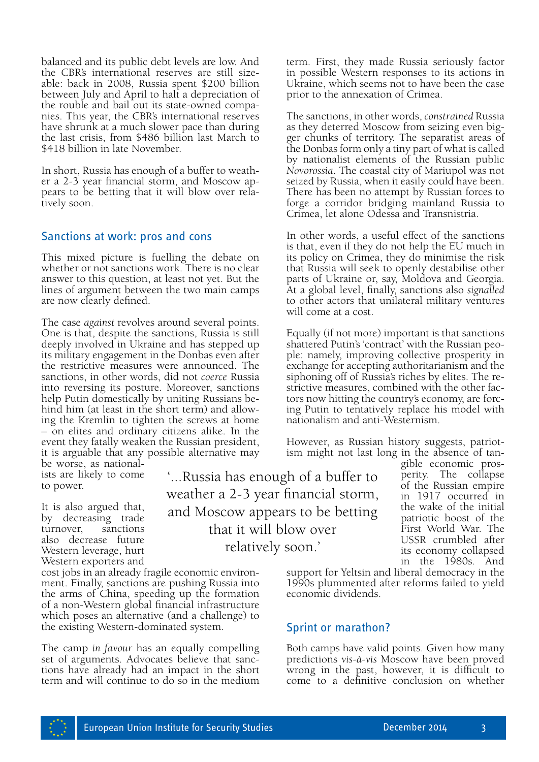balanced and its public debt levels are low. And the CBR's international reserves are still sizeable: back in 2008, Russia spent \$200 billion between July and April to halt a depreciation of nies. This year, the CBR's international reserves have shrunk at a much slower pace than during the last crisis, from \$486 billion last March to \$418 billion in late November.

In short, Russia has enough of a buffer to weather a 2-3 year financial storm, and Moscow appears to be betting that it will blow over relatively soon.

#### Sanctions at work: pros and cons

This mixed picture is fuelling the debate on whether or not sanctions work. There is no clear answer to this question, at least not yet. But the lines of argument between the two main camps are now clearly defined.

The case *against* revolves around several points. One is that, despite the sanctions, Russia is still deeply involved in Ukraine and has stepped up its military engagement in the Donbas even after the restrictive measures were announced. The sanctions, in other words, did not *coerce* Russia into reversing its posture. Moreover, sanctions help Putin domestically by uniting Russians behind him (at least in the short term) and allowing the Kremlin to tighten the screws at home – on elites and ordinary citizens alike. In the event they fatally weaken the Russian president, it is arguable that any possible alternative may

be worse, as nationalists are likely to come to power.

It is also argued that, by decreasing trade<br>turnover. sanctions turnover. also decrease future Western leverage, hurt Western exporters and

cost jobs in an already fragile economic environment. Finally, sanctions are pushing Russia into the arms of China, speeding up the formation of a non-Western global financial infrastructure which poses an alternative (and a challenge) to the existing Western-dominated system.

The camp *in favour* has an equally compelling set of arguments. Advocates believe that sanctions have already had an impact in the short term and will continue to do so in the medium

'...Russia has enough of a buffer to weather a 2-3 year financial storm, and Moscow appears to be betting that it will blow over relatively soon.'

term. First, they made Russia seriously factor in possible Western responses to its actions in Ukraine, which seems not to have been the case prior to the annexation of Crimea.

The sanctions, in other words, *constrained* Russia as they deterred Moscow from seizing even bigger chunks of territory. The separatist areas of the Donbas form only a tiny part of what is called by nationalist elements of the Russian public *Novorossia*. The coastal city of Mariupol was not seized by Russia, when it easily could have been. There has been no attempt by Russian forces to forge a corridor bridging mainland Russia to Crimea, let alone Odessa and Transnistria.

In other words, a useful effect of the sanctions is that, even if they do not help the EU much in its policy on Crimea, they do minimise the risk that Russia will seek to openly destabilise other parts of Ukraine or, say, Moldova and Georgia. At a global level, finally, sanctions also *signalled*  to other actors that unilateral military ventures will come at a cost.

Equally (if not more) important is that sanctions shattered Putin's 'contract' with the Russian people: namely, improving collective prosperity in exchange for accepting authoritarianism and the siphoning off of Russia's riches by elites. The restrictive measures, combined with the other factors now hitting the country's economy, are forcing Putin to tentatively replace his model with nationalism and anti-Westernism.

However, as Russian history suggests, patriotism might not last long in the absence of tan-

> gible economic prosperity. The collapse of the Russian empire in 1917 occurred in the wake of the initial patriotic boost of the First World War. The USSR crumbled after its economy collapsed in the 1980s. And

support for Yeltsin and liberal democracy in the 1990s plummented after reforms failed to yield economic dividends.

# Sprint or marathon?

Both camps have valid points. Given how many predictions *vis*-*à-vis* Moscow have been proved wrong in the past, however, it is difficult to come to a definitive conclusion on whether